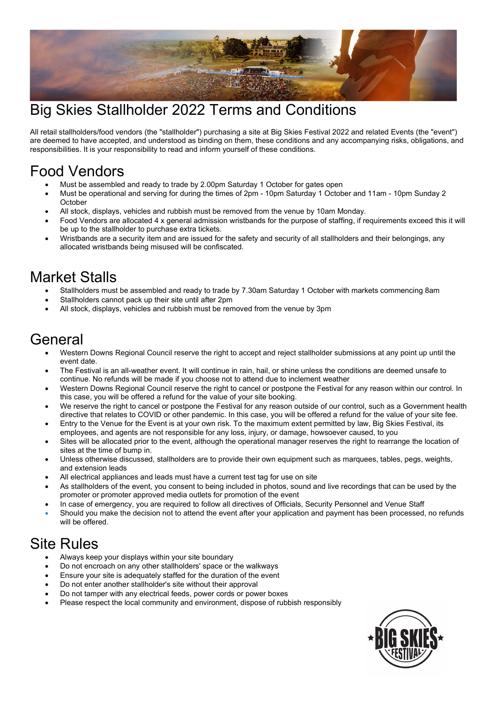

### Big Skies Stallholder 2022 Terms and Conditions

All retail stallholders/food vendors (the "stallholder") purchasing a site at Big Skies Festival 2022 and related Events (the "event") are deemed to have accepted, and understood as binding on them, these conditions and any accompanying risks, obligations, and responsibilities. It is your responsibility to read and inform yourself of these conditions.

### Food Vendors

- Must be assembled and ready to trade by 2.00pm Saturday 1 October for gates open
- Must be operational and serving for during the times of 2pm 10pm Saturday 1 October and 11am 10pm Sunday 2 **October**
- All stock, displays, vehicles and rubbish must be removed from the venue by 10am Monday.
- Food Vendors are allocated 4 x general admission wristbands for the purpose of staffing, if requirements exceed this it will be up to the stallholder to purchase extra tickets.
- Wristbands are a security item and are issued for the safety and security of all stallholders and their belongings, any allocated wristbands being misused will be confiscated.

### Market Stalls

- Stallholders must be assembled and ready to trade by 7.30am Saturday 1 October with markets commencing 8am
- Stallholders cannot pack up their site until after 2pm
- All stock, displays, vehicles and rubbish must be removed from the venue by 3pm

#### General

- Western Downs Regional Council reserve the right to accept and reject stallholder submissions at any point up until the event date.
- The Festival is an all-weather event. It will continue in rain, hail, or shine unless the conditions are deemed unsafe to continue. No refunds will be made if you choose not to attend due to inclement weather
- Western Downs Regional Council reserve the right to cancel or postpone the Festival for any reason within our control. In this case, you will be offered a refund for the value of your site booking.
- We reserve the right to cancel or postpone the Festival for any reason outside of our control, such as a Government health directive that relates to COVID or other pandemic. In this case, you will be offered a refund for the value of your site fee.
- Entry to the Venue for the Event is at your own risk. To the maximum extent permitted by law, Big Skies Festival, its employees, and agents are not responsible for any loss, injury, or damage, howsoever caused, to you
- Sites will be allocated prior to the event, although the operational manager reserves the right to rearrange the location of sites at the time of bump in.
- Unless otherwise discussed, stallholders are to provide their own equipment such as marquees, tables, pegs, weights, and extension leads
- All electrical appliances and leads must have a current test tag for use on site
- As stallholders of the event, you consent to being included in photos, sound and live recordings that can be used by the promoter or promoter approved media outlets for promotion of the event
- In case of emergency, you are required to follow all directives of Officials, Security Personnel and Venue Staff
- Should you make the decision not to attend the event after your application and payment has been processed, no refunds will be offered.

## Site Rules

- Always keep your displays within your site boundary
- Do not encroach on any other stallholders' space or the walkways
- Ensure your site is adequately staffed for the duration of the event
- Do not enter another stallholder's site without their approval
- Do not tamper with any electrical feeds, power cords or power boxes
- Please respect the local community and environment, dispose of rubbish responsibly